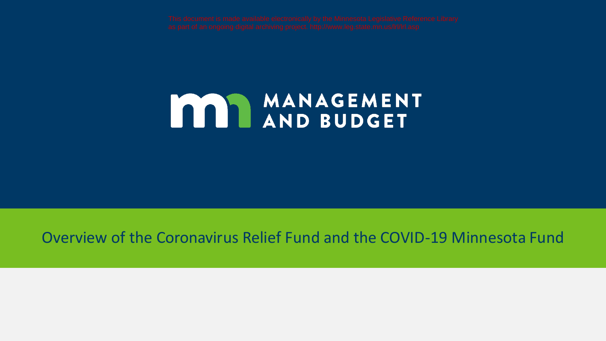# MANAGEMENT

#### Overview of the Coronavirus Relief Fund and the COVID-19 Minnesota Fund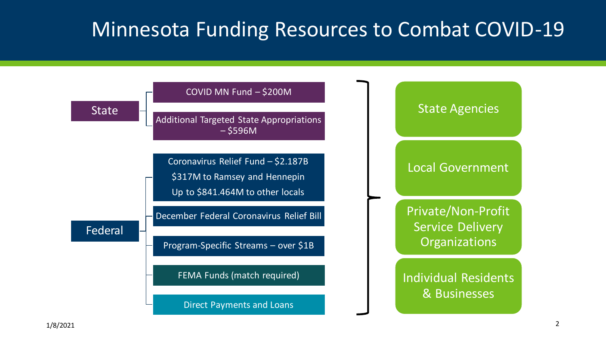### Minnesota Funding Resources to Combat COVID-19

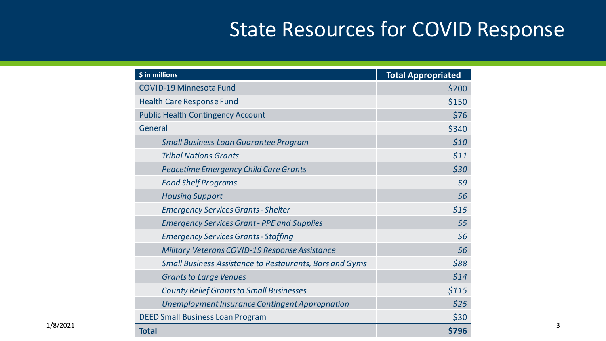## State Resources for COVID Response

|          | \$ in millions                                                 | <b>Total Appropriated</b> |
|----------|----------------------------------------------------------------|---------------------------|
|          | <b>COVID-19 Minnesota Fund</b>                                 | \$200                     |
|          | <b>Health Care Response Fund</b>                               | \$150                     |
|          | <b>Public Health Contingency Account</b>                       | \$76                      |
|          | General                                                        | \$340                     |
|          | <b>Small Business Loan Guarantee Program</b>                   | \$10                      |
|          | <b>Tribal Nations Grants</b>                                   | \$11                      |
|          | <b>Peacetime Emergency Child Care Grants</b>                   | \$30                      |
|          | <b>Food Shelf Programs</b>                                     | 59                        |
|          | <b>Housing Support</b>                                         | \$6                       |
|          | <b>Emergency Services Grants - Shelter</b>                     | $$15$                     |
|          | <b>Emergency Services Grant - PPE and Supplies</b>             | \$5                       |
|          | <b>Emergency Services Grants - Staffing</b>                    | \$6                       |
|          | Military Veterans COVID-19 Response Assistance                 | \$6                       |
|          | <b>Small Business Assistance to Restaurants, Bars and Gyms</b> | \$88                      |
|          | <b>Grants to Large Venues</b>                                  | \$14                      |
|          | <b>County Relief Grants to Small Businesses</b>                | \$115                     |
|          | Unemployment Insurance Contingent Appropriation                | \$25                      |
|          | <b>DEED Small Business Loan Program</b>                        | \$30                      |
| 1/8/2021 | <b>Total</b>                                                   | \$796                     |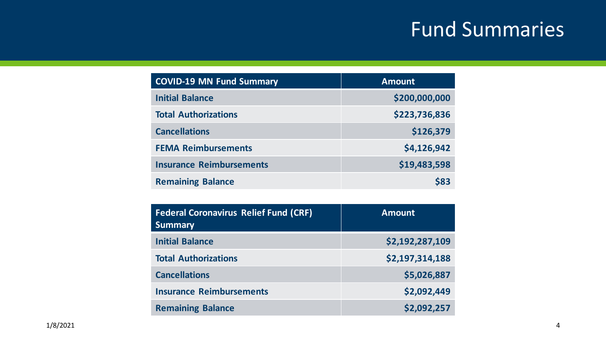## Fund Summaries

| <b>COVID-19 MN Fund Summary</b> | <b>Amount</b> |
|---------------------------------|---------------|
| <b>Initial Balance</b>          | \$200,000,000 |
| <b>Total Authorizations</b>     | \$223,736,836 |
| <b>Cancellations</b>            | \$126,379     |
| <b>FEMA Reimbursements</b>      | \$4,126,942   |
| <b>Insurance Reimbursements</b> | \$19,483,598  |
| <b>Remaining Balance</b>        | \$83          |

| <b>Federal Coronavirus Relief Fund (CRF)</b><br><b>Summary</b> | <b>Amount</b>   |
|----------------------------------------------------------------|-----------------|
| <b>Initial Balance</b>                                         | \$2,192,287,109 |
| <b>Total Authorizations</b>                                    | \$2,197,314,188 |
| <b>Cancellations</b>                                           | \$5,026,887     |
| <b>Insurance Reimbursements</b>                                | \$2,092,449     |
| <b>Remaining Balance</b>                                       | \$2,092,257     |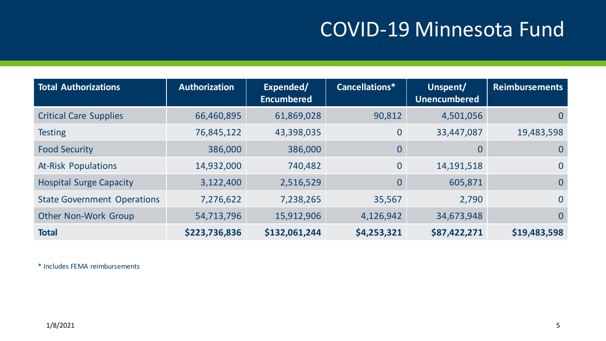## COVID-19 Minnesota Fund

| <b>Total Authorizations</b>        | <b>Authorization</b> | Expended/<br><b>Encumbered</b> | Cancellations* | Unspent/<br><b>Unencumbered</b> | <b>Reimbursements</b> |
|------------------------------------|----------------------|--------------------------------|----------------|---------------------------------|-----------------------|
| <b>Critical Care Supplies</b>      | 66,460,895           | 61,869,028                     | 90,812         | 4,501,056                       | $\mathbf{0}$          |
| <b>Testing</b>                     | 76,845,122           | 43,398,035                     | $\mathbf{0}$   | 33,447,087                      | 19,483,598            |
| <b>Food Security</b>               | 386,000              | 386,000                        | $\overline{0}$ | $\overline{0}$                  | $\mathbf{0}$          |
| <b>At-Risk Populations</b>         | 14,932,000           | 740,482                        | $\overline{0}$ | 14, 191, 518                    | $\mathbf{0}$          |
| <b>Hospital Surge Capacity</b>     | 3,122,400            | 2,516,529                      | $\Omega$       | 605,871                         | $\overline{0}$        |
| <b>State Government Operations</b> | 7,276,622            | 7,238,265                      | 35,567         | 2,790                           | $\overline{0}$        |
| <b>Other Non-Work Group</b>        | 54,713,796           | 15,912,906                     | 4,126,942      | 34,673,948                      | $\overline{0}$        |
| <b>Total</b>                       | \$223,736,836        | \$132,061,244                  | \$4,253,321    | \$87,422,271                    | \$19,483,598          |

\* Includes FEMA reimbursements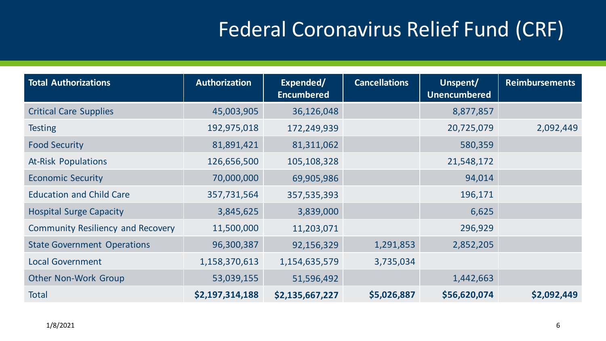# Federal Coronavirus Relief Fund (CRF)

| <b>Total Authorizations</b>              | <b>Authorization</b> | Expended/<br><b>Encumbered</b> | <b>Cancellations</b> | Unspent/<br><b>Unencumbered</b> | <b>Reimbursements</b> |
|------------------------------------------|----------------------|--------------------------------|----------------------|---------------------------------|-----------------------|
| <b>Critical Care Supplies</b>            | 45,003,905           | 36,126,048                     |                      | 8,877,857                       |                       |
| <b>Testing</b>                           | 192,975,018          | 172,249,939                    |                      | 20,725,079                      | 2,092,449             |
| <b>Food Security</b>                     | 81,891,421           | 81,311,062                     |                      | 580,359                         |                       |
| <b>At-Risk Populations</b>               | 126,656,500          | 105,108,328                    |                      | 21,548,172                      |                       |
| <b>Economic Security</b>                 | 70,000,000           | 69,905,986                     |                      | 94,014                          |                       |
| <b>Education and Child Care</b>          | 357,731,564          | 357,535,393                    |                      | 196,171                         |                       |
| <b>Hospital Surge Capacity</b>           | 3,845,625            | 3,839,000                      |                      | 6,625                           |                       |
| <b>Community Resiliency and Recovery</b> | 11,500,000           | 11,203,071                     |                      | 296,929                         |                       |
| <b>State Government Operations</b>       | 96,300,387           | 92,156,329                     | 1,291,853            | 2,852,205                       |                       |
| <b>Local Government</b>                  | 1,158,370,613        | 1,154,635,579                  | 3,735,034            |                                 |                       |
| <b>Other Non-Work Group</b>              | 53,039,155           | 51,596,492                     |                      | 1,442,663                       |                       |
| <b>Total</b>                             | \$2,197,314,188      | \$2,135,667,227                | \$5,026,887          | \$56,620,074                    | \$2,092,449           |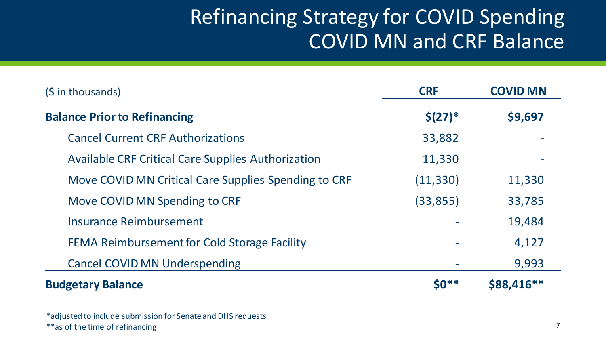## Refinancing Strategy for COVID Spending COVID MN and CRF Balance

| $(\frac{1}{2} in thousands)$                              | <b>CRF</b> | <b>COVID MN</b> |
|-----------------------------------------------------------|------------|-----------------|
| <b>Balance Prior to Refinancing</b>                       | $$(27)*$   | \$9,697         |
| <b>Cancel Current CRF Authorizations</b>                  | 33,882     |                 |
| <b>Available CRF Critical Care Supplies Authorization</b> | 11,330     |                 |
| Move COVID MN Critical Care Supplies Spending to CRF      | (11, 330)  | 11,330          |
| Move COVID MN Spending to CRF                             | (33, 855)  | 33,785          |
| Insurance Reimbursement                                   |            | 19,484          |
| FEMA Reimbursement for Cold Storage Facility              |            | 4,127           |
| <b>Cancel COVID MN Underspending</b>                      |            | 9,993           |
| <b>Budgetary Balance</b>                                  | $50**$     | \$88,416**      |

\*adjusted to include submission for Senate and DHS requests \*\*as of the time of refinancing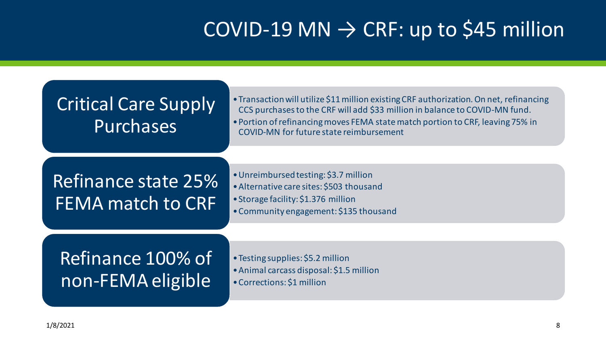# $COV$ ID-19 MN  $\rightarrow$  CRF: up to \$45 million

#### Critical Care Supply Purchases

- •Transaction will utilize \$11 million existing CRF authorization. On net, refinancing CCS purchases to the CRF will add \$33 million in balance to COVID-MN fund.
- •Portion of refinancing moves FEMA state match portion to CRF, leaving 75% in COVID-MN for future state reimbursement

#### Refinance state 25% FEMA match to CRF

- •Unreimbursed testing: \$3.7 million
- •Alternative care sites: \$503 thousand
- •Storage facility: \$1.376 million
- •Community engagement: \$135 thousand

#### Refinance 100% of non-FEMA eligible

- •Testing supplies: \$5.2 million
- •Animal carcass disposal: \$1.5 million
- •Corrections: \$1 million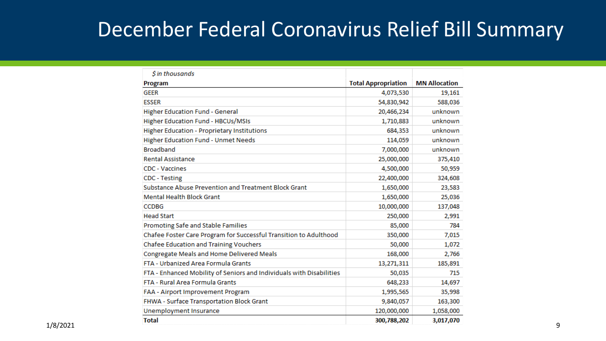#### December Federal Coronavirus Relief Bill Summary

| \$ in thousands                                                      |                            |                      |
|----------------------------------------------------------------------|----------------------------|----------------------|
| <b>Program</b>                                                       | <b>Total Appropriation</b> | <b>MN Allocation</b> |
| <b>GEER</b>                                                          | 4,073,530                  | 19,161               |
| <b>ESSER</b>                                                         | 54,830,942                 | 588,036              |
| <b>Higher Education Fund - General</b>                               | 20,466,234                 | unknown              |
| <b>Higher Education Fund - HBCUs/MSIs</b>                            | 1,710,883                  | unknown              |
| <b>Higher Education - Proprietary Institutions</b>                   | 684,353                    | unknown              |
| <b>Higher Education Fund - Unmet Needs</b>                           | 114,059                    | unknown              |
| <b>Broadband</b>                                                     | 7,000,000                  | unknown              |
| <b>Rental Assistance</b>                                             | 25,000,000                 | 375,410              |
| <b>CDC - Vaccines</b>                                                | 4,500,000                  | 50,959               |
| <b>CDC</b> - Testing                                                 | 22,400,000                 | 324,608              |
| Substance Abuse Prevention and Treatment Block Grant                 | 1,650,000                  | 23,583               |
| <b>Mental Health Block Grant</b>                                     | 1,650,000                  | 25,036               |
| <b>CCDBG</b>                                                         | 10,000,000                 | 137,048              |
| <b>Head Start</b>                                                    | 250,000                    | 2,991                |
| Promoting Safe and Stable Families                                   | 85,000                     | 784                  |
| Chafee Foster Care Program for Successful Transition to Adulthood    | 350,000                    | 7,015                |
| Chafee Education and Training Vouchers                               | 50,000                     | 1,072                |
| Congregate Meals and Home Delivered Meals                            | 168,000                    | 2,766                |
| FTA - Urbanized Area Formula Grants                                  | 13,271,311                 | 185,891              |
| FTA - Enhanced Mobility of Seniors and Individuals with Disabilities | 50,035                     | 715                  |
| FTA - Rural Area Formula Grants                                      | 648,233                    | 14,697               |
| FAA - Airport Improvement Program                                    | 1,995,565                  | 35,998               |
| FHWA - Surface Transportation Block Grant                            | 9,840,057                  | 163,300              |
| Unemployment Insurance                                               | 120,000,000                | 1,058,000            |
| <b>Total</b>                                                         | 300,788,202                | 3,017,070            |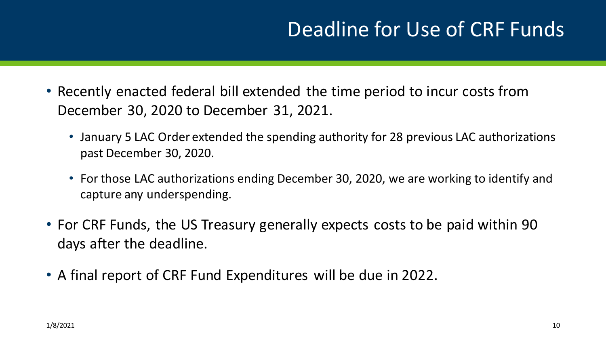## Deadline for Use of CRF Funds

- Recently enacted federal bill extended the time period to incur costs from December 30, 2020 to December 31, 2021.
	- January 5 LAC Order extended the spending authority for 28 previous LAC authorizations past December 30, 2020.
	- For those LAC authorizations ending December 30, 2020, we are working to identify and capture any underspending.
- For CRF Funds, the US Treasury generally expects costs to be paid within 90 days after the deadline.
- A final report of CRF Fund Expenditures will be due in 2022.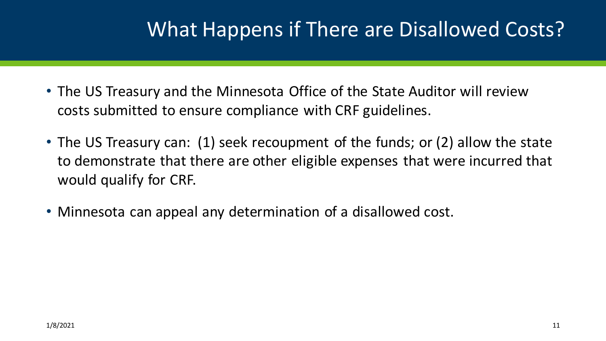## What Happens if There are Disallowed Costs?

- The US Treasury and the Minnesota Office of the State Auditor will review costs submitted to ensure compliance with CRF guidelines.
- The US Treasury can: (1) seek recoupment of the funds; or (2) allow the state to demonstrate that there are other eligible expenses that were incurred that would qualify for CRF.
- Minnesota can appeal any determination of a disallowed cost.